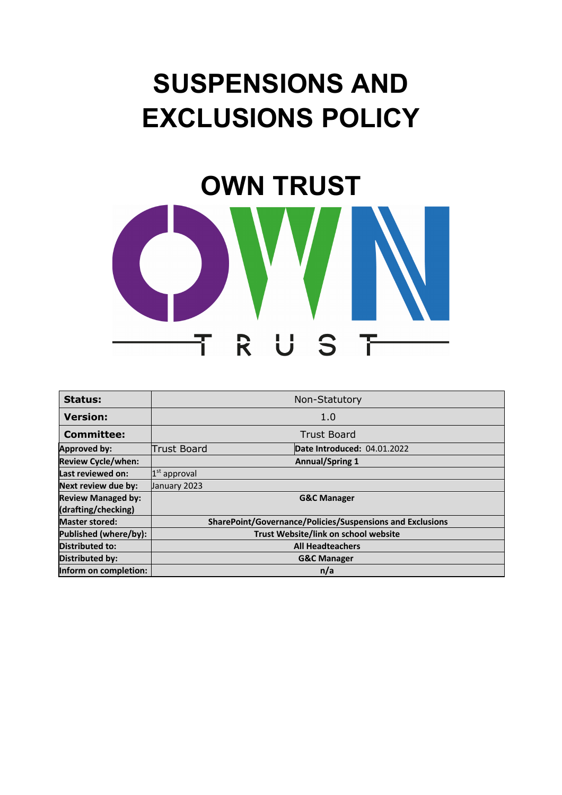# **SUSPENSIONS AND EXCLUSIONS POLICY**



| Status:                   | Non-Statutory                                             |                             |  |  |
|---------------------------|-----------------------------------------------------------|-----------------------------|--|--|
| <b>Version:</b>           | 1.0                                                       |                             |  |  |
| <b>Committee:</b>         | <b>Trust Board</b>                                        |                             |  |  |
| <b>Approved by:</b>       | <b>Trust Board</b>                                        | Date Introduced: 04.01.2022 |  |  |
| <b>Review Cycle/when:</b> |                                                           | <b>Annual/Spring 1</b>      |  |  |
| Last reviewed on:         | $1st$ approval                                            |                             |  |  |
| Next review due by:       | January 2023                                              |                             |  |  |
| <b>Review Managed by:</b> | <b>G&amp;C Manager</b>                                    |                             |  |  |
| (drafting/checking)       |                                                           |                             |  |  |
| <b>Master stored:</b>     | SharePoint/Governance/Policies/Suspensions and Exclusions |                             |  |  |
| Published (where/by):     | Trust Website/link on school website                      |                             |  |  |
| <b>Distributed to:</b>    | <b>All Headteachers</b>                                   |                             |  |  |
| Distributed by:           | <b>G&amp;C Manager</b>                                    |                             |  |  |
| Inform on completion:     | n/a                                                       |                             |  |  |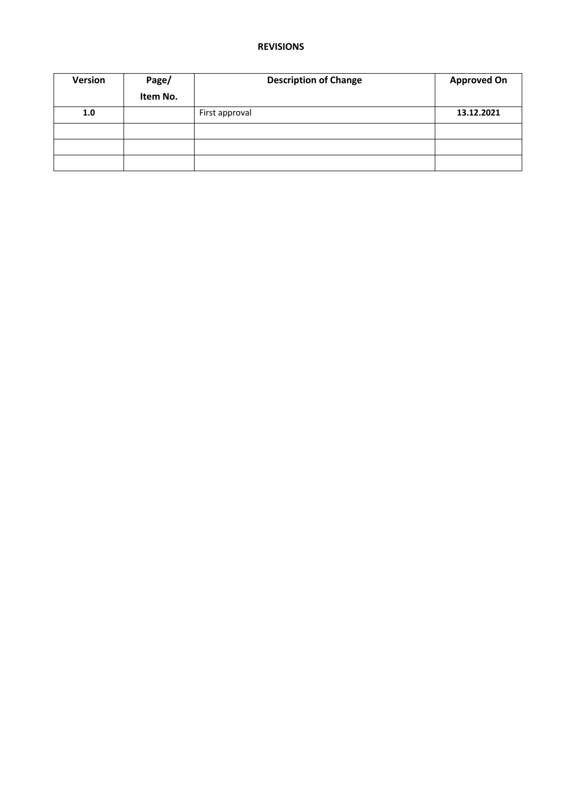#### **REVISIONS**

| <b>Version</b> | Page/    | <b>Description of Change</b> | <b>Approved On</b> |
|----------------|----------|------------------------------|--------------------|
|                | Item No. |                              |                    |
| 1.0            |          | First approval               | 13.12.2021         |
|                |          |                              |                    |
|                |          |                              |                    |
|                |          |                              |                    |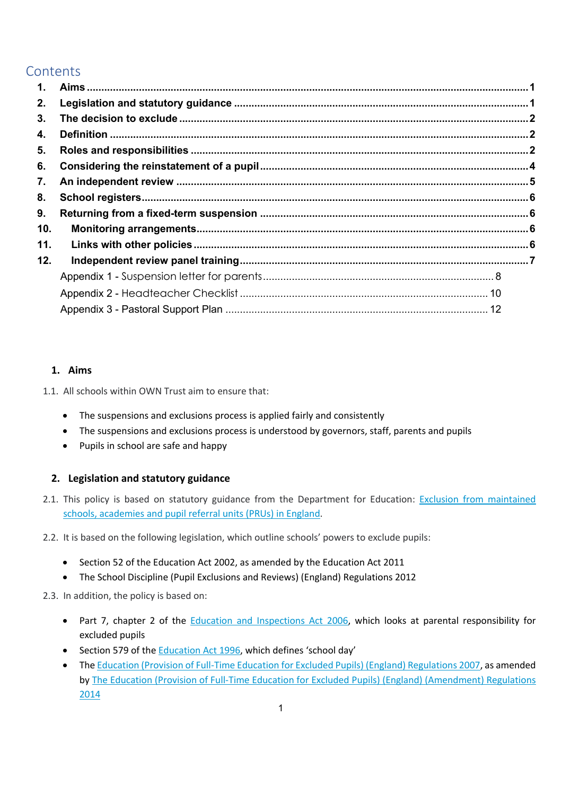### **Contents**

| $\mathbf 1$ . |  |
|---------------|--|
| 2.            |  |
| 3.            |  |
| 4.            |  |
| 5.            |  |
| 6.            |  |
| 7.            |  |
| 8.            |  |
| 9.            |  |
| 10.           |  |
| 11.           |  |
| 12.           |  |
|               |  |
|               |  |
|               |  |

#### **1. Aims**

1.1. All schools within OWN Trust aim to ensure that:

- The suspensions and exclusions process is applied fairly and consistently
- The suspensions and exclusions process is understood by governors, staff, parents and pupils
- Pupils in school are safe and happy

#### **2. Legislation and statutory guidance**

- 2.1. This policy is based on statutory guidance from the Department for Education: Exclusion from maintained schools, academies and pupil referral units (PRUs) in England.
- 2.2. It is based on the following legislation, which outline schools' powers to exclude pupils:
	- Section 52 of the Education Act 2002, as amended by the Education Act 2011
	- The School Discipline (Pupil Exclusions and Reviews) (England) Regulations 2012

2.3. In addition, the policy is based on:

- Part 7, chapter 2 of the **Education and Inspections Act 2006**, which looks at parental responsibility for excluded pupils
- Section 579 of the Education Act 1996, which defines 'school day'
- The Education (Provision of Full-Time Education for Excluded Pupils) (England) Regulations 2007, as amended by The Education (Provision of Full-Time Education for Excluded Pupils) (England) (Amendment) Regulations 2014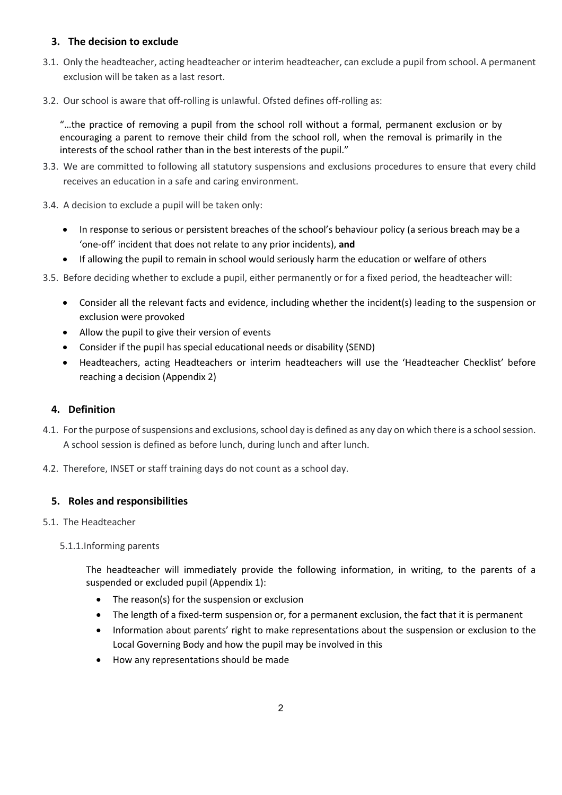#### **3. The decision to exclude**

- 3.1. Only the headteacher, acting headteacher or interim headteacher, can exclude a pupil from school. A permanent exclusion will be taken as a last resort.
- 3.2. Our school is aware that off-rolling is unlawful. Ofsted defines off-rolling as:

"…the practice of removing a pupil from the school roll without a formal, permanent exclusion or by encouraging a parent to remove their child from the school roll, when the removal is primarily in the interests of the school rather than in the best interests of the pupil."

- 3.3. We are committed to following all statutory suspensions and exclusions procedures to ensure that every child receives an education in a safe and caring environment.
- 3.4. A decision to exclude a pupil will be taken only:
	- In response to serious or persistent breaches of the school's behaviour policy (a serious breach may be a 'one-off' incident that does not relate to any prior incidents), **and**
	- If allowing the pupil to remain in school would seriously harm the education or welfare of others
- 3.5. Before deciding whether to exclude a pupil, either permanently or for a fixed period, the headteacher will:
	- Consider all the relevant facts and evidence, including whether the incident(s) leading to the suspension or exclusion were provoked
	- Allow the pupil to give their version of events
	- Consider if the pupil has special educational needs or disability (SEND)
	- Headteachers, acting Headteachers or interim headteachers will use the 'Headteacher Checklist' before reaching a decision (Appendix 2)

#### **4. Definition**

- 4.1. For the purpose of suspensions and exclusions, school day is defined as any day on which there is a school session. A school session is defined as before lunch, during lunch and after lunch.
- 4.2. Therefore, INSET or staff training days do not count as a school day.

#### **5. Roles and responsibilities**

- 5.1. The Headteacher
	- 5.1.1.Informing parents

The headteacher will immediately provide the following information, in writing, to the parents of a suspended or excluded pupil (Appendix 1):

- The reason(s) for the suspension or exclusion
- The length of a fixed-term suspension or, for a permanent exclusion, the fact that it is permanent
- Information about parents' right to make representations about the suspension or exclusion to the Local Governing Body and how the pupil may be involved in this
- How any representations should be made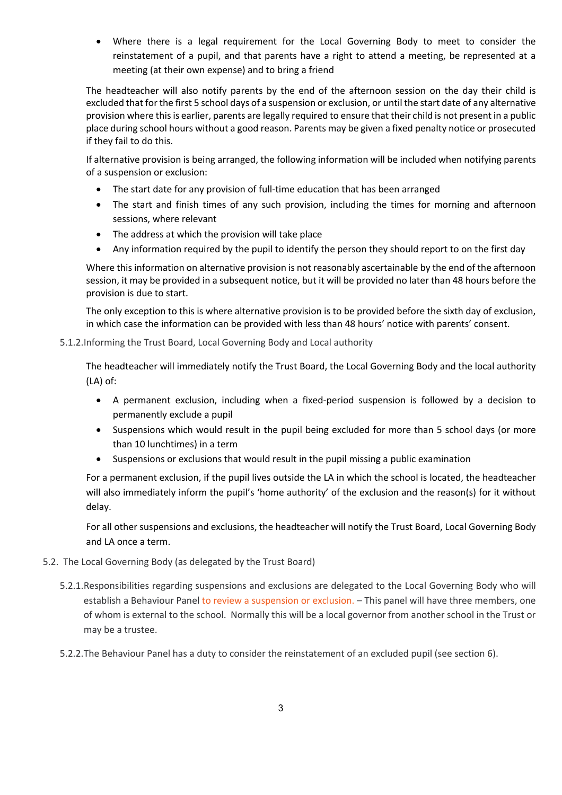• Where there is a legal requirement for the Local Governing Body to meet to consider the reinstatement of a pupil, and that parents have a right to attend a meeting, be represented at a meeting (at their own expense) and to bring a friend

The headteacher will also notify parents by the end of the afternoon session on the day their child is excluded that for the first 5 school days of a suspension or exclusion, or until the start date of any alternative provision where this is earlier, parents are legally required to ensure that their child is not present in a public place during school hours without a good reason. Parents may be given a fixed penalty notice or prosecuted if they fail to do this.

If alternative provision is being arranged, the following information will be included when notifying parents of a suspension or exclusion:

- The start date for any provision of full-time education that has been arranged
- The start and finish times of any such provision, including the times for morning and afternoon sessions, where relevant
- The address at which the provision will take place
- Any information required by the pupil to identify the person they should report to on the first day

Where this information on alternative provision is not reasonably ascertainable by the end of the afternoon session, it may be provided in a subsequent notice, but it will be provided no later than 48 hours before the provision is due to start.

The only exception to this is where alternative provision is to be provided before the sixth day of exclusion, in which case the information can be provided with less than 48 hours' notice with parents' consent.

#### 5.1.2.Informing the Trust Board, Local Governing Body and Local authority

The headteacher will immediately notify the Trust Board, the Local Governing Body and the local authority (LA) of:

- A permanent exclusion, including when a fixed-period suspension is followed by a decision to permanently exclude a pupil
- Suspensions which would result in the pupil being excluded for more than 5 school days (or more than 10 lunchtimes) in a term
- Suspensions or exclusions that would result in the pupil missing a public examination

For a permanent exclusion, if the pupil lives outside the LA in which the school is located, the headteacher will also immediately inform the pupil's 'home authority' of the exclusion and the reason(s) for it without delay.

For all other suspensions and exclusions, the headteacher will notify the Trust Board, Local Governing Body and LA once a term.

- 5.2. The Local Governing Body (as delegated by the Trust Board)
	- 5.2.1.Responsibilities regarding suspensions and exclusions are delegated to the Local Governing Body who will establish a Behaviour Panel to review a suspension or exclusion. – This panel will have three members, one of whom is external to the school. Normally this will be a local governor from another school in the Trust or may be a trustee.
	- 5.2.2.The Behaviour Panel has a duty to consider the reinstatement of an excluded pupil (see section 6).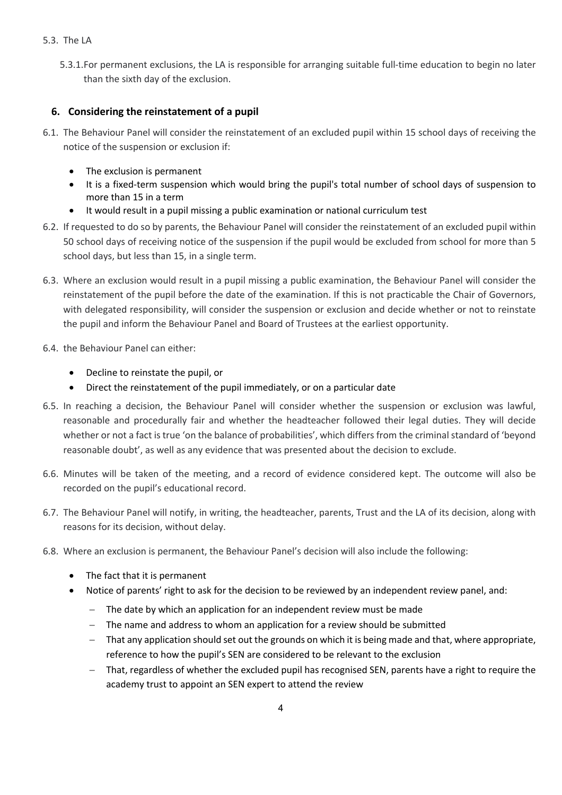#### 5.3. The LA

5.3.1.For permanent exclusions, the LA is responsible for arranging suitable full-time education to begin no later than the sixth day of the exclusion.

#### **6. Considering the reinstatement of a pupil**

- 6.1. The Behaviour Panel will consider the reinstatement of an excluded pupil within 15 school days of receiving the notice of the suspension or exclusion if:
	- The exclusion is permanent
	- It is a fixed-term suspension which would bring the pupil's total number of school days of suspension to more than 15 in a term
	- It would result in a pupil missing a public examination or national curriculum test
- 6.2. If requested to do so by parents, the Behaviour Panel will consider the reinstatement of an excluded pupil within 50 school days of receiving notice of the suspension if the pupil would be excluded from school for more than 5 school days, but less than 15, in a single term.
- 6.3. Where an exclusion would result in a pupil missing a public examination, the Behaviour Panel will consider the reinstatement of the pupil before the date of the examination. If this is not practicable the Chair of Governors, with delegated responsibility, will consider the suspension or exclusion and decide whether or not to reinstate the pupil and inform the Behaviour Panel and Board of Trustees at the earliest opportunity.
- 6.4. the Behaviour Panel can either:
	- Decline to reinstate the pupil, or
	- Direct the reinstatement of the pupil immediately, or on a particular date
- 6.5. In reaching a decision, the Behaviour Panel will consider whether the suspension or exclusion was lawful, reasonable and procedurally fair and whether the headteacher followed their legal duties. They will decide whether or not a fact is true 'on the balance of probabilities', which differs from the criminal standard of 'beyond reasonable doubt', as well as any evidence that was presented about the decision to exclude.
- 6.6. Minutes will be taken of the meeting, and a record of evidence considered kept. The outcome will also be recorded on the pupil's educational record.
- 6.7. The Behaviour Panel will notify, in writing, the headteacher, parents, Trust and the LA of its decision, along with reasons for its decision, without delay.
- 6.8. Where an exclusion is permanent, the Behaviour Panel's decision will also include the following:
	- The fact that it is permanent
	- Notice of parents' right to ask for the decision to be reviewed by an independent review panel, and:
		- The date by which an application for an independent review must be made
		- The name and address to whom an application for a review should be submitted
		- That any application should set out the grounds on which it is being made and that, where appropriate, reference to how the pupil's SEN are considered to be relevant to the exclusion
		- That, regardless of whether the excluded pupil has recognised SEN, parents have a right to require the academy trust to appoint an SEN expert to attend the review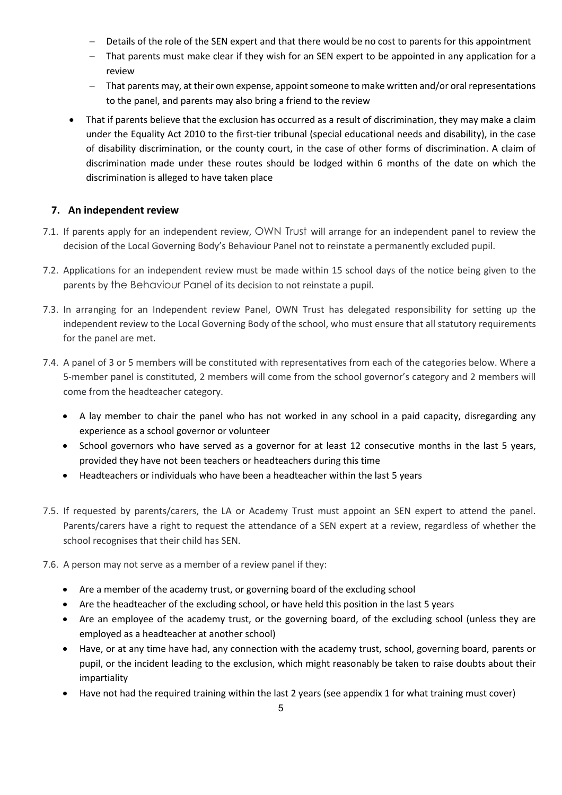- Details of the role of the SEN expert and that there would be no cost to parents for this appointment
- That parents must make clear if they wish for an SEN expert to be appointed in any application for a review
- That parents may, at their own expense, appoint someone to make written and/or oral representations to the panel, and parents may also bring a friend to the review
- That if parents believe that the exclusion has occurred as a result of discrimination, they may make a claim under the Equality Act 2010 to the first-tier tribunal (special educational needs and disability), in the case of disability discrimination, or the county court, in the case of other forms of discrimination. A claim of discrimination made under these routes should be lodged within 6 months of the date on which the discrimination is alleged to have taken place

#### **7. An independent review**

- 7.1. If parents apply for an independent review, OWN Trust will arrange for an independent panel to review the decision of the Local Governing Body's Behaviour Panel not to reinstate a permanently excluded pupil.
- 7.2. Applications for an independent review must be made within 15 school days of the notice being given to the parents by the Behaviour Panel of its decision to not reinstate a pupil.
- 7.3. In arranging for an Independent review Panel, OWN Trust has delegated responsibility for setting up the independent review to the Local Governing Body of the school, who must ensure that all statutory requirements for the panel are met.
- 7.4. A panel of 3 or 5 members will be constituted with representatives from each of the categories below. Where a 5-member panel is constituted, 2 members will come from the school governor's category and 2 members will come from the headteacher category.
	- A lay member to chair the panel who has not worked in any school in a paid capacity, disregarding any experience as a school governor or volunteer
	- School governors who have served as a governor for at least 12 consecutive months in the last 5 years, provided they have not been teachers or headteachers during this time
	- Headteachers or individuals who have been a headteacher within the last 5 years
- 7.5. If requested by parents/carers, the LA or Academy Trust must appoint an SEN expert to attend the panel. Parents/carers have a right to request the attendance of a SEN expert at a review, regardless of whether the school recognises that their child has SEN.
- 7.6. A person may not serve as a member of a review panel if they:
	- Are a member of the academy trust, or governing board of the excluding school
	- Are the headteacher of the excluding school, or have held this position in the last 5 years
	- Are an employee of the academy trust, or the governing board, of the excluding school (unless they are employed as a headteacher at another school)
	- Have, or at any time have had, any connection with the academy trust, school, governing board, parents or pupil, or the incident leading to the exclusion, which might reasonably be taken to raise doubts about their impartiality
	- Have not had the required training within the last 2 years (see appendix 1 for what training must cover)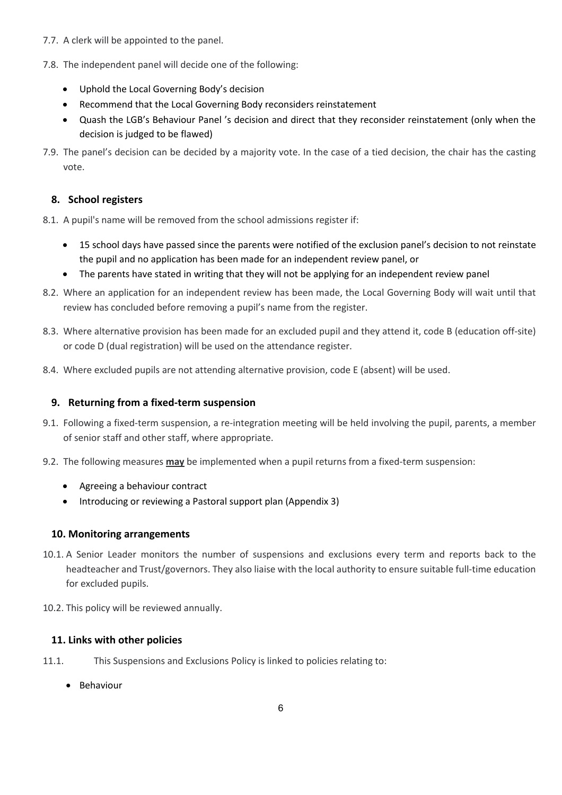- 7.7. A clerk will be appointed to the panel.
- 7.8. The independent panel will decide one of the following:
	- Uphold the Local Governing Body's decision
	- Recommend that the Local Governing Body reconsiders reinstatement
	- Quash the LGB's Behaviour Panel 's decision and direct that they reconsider reinstatement (only when the decision is judged to be flawed)
- 7.9. The panel's decision can be decided by a majority vote. In the case of a tied decision, the chair has the casting vote.

#### **8. School registers**

- 8.1. A pupil's name will be removed from the school admissions register if:
	- 15 school days have passed since the parents were notified of the exclusion panel's decision to not reinstate the pupil and no application has been made for an independent review panel, or
	- The parents have stated in writing that they will not be applying for an independent review panel
- 8.2. Where an application for an independent review has been made, the Local Governing Body will wait until that review has concluded before removing a pupil's name from the register.
- 8.3. Where alternative provision has been made for an excluded pupil and they attend it, code B (education off-site) or code D (dual registration) will be used on the attendance register.
- 8.4. Where excluded pupils are not attending alternative provision, code E (absent) will be used.

#### **9. Returning from a fixed-term suspension**

- 9.1. Following a fixed-term suspension, a re-integration meeting will be held involving the pupil, parents, a member of senior staff and other staff, where appropriate.
- 9.2. The following measures **may** be implemented when a pupil returns from a fixed-term suspension:
	- Agreeing a behaviour contract
	- Introducing or reviewing a Pastoral support plan (Appendix 3)

#### **10. Monitoring arrangements**

- 10.1. A Senior Leader monitors the number of suspensions and exclusions every term and reports back to the headteacher and Trust/governors. They also liaise with the local authority to ensure suitable full-time education for excluded pupils.
- 10.2. This policy will be reviewed annually.

#### **11. Links with other policies**

- 11.1. This Suspensions and Exclusions Policy is linked to policies relating to:
	- Behaviour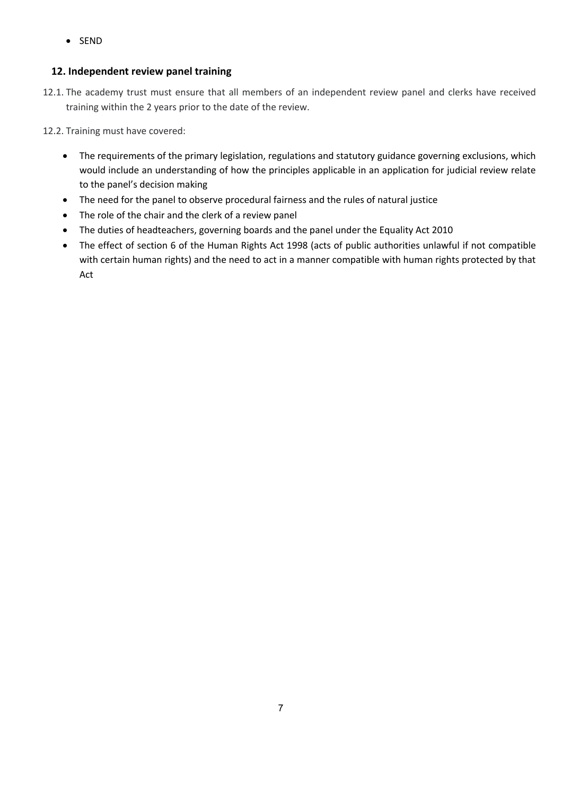• SEND

#### **12. Independent review panel training**

- 12.1. The academy trust must ensure that all members of an independent review panel and clerks have received training within the 2 years prior to the date of the review.
- 12.2. Training must have covered:
	- The requirements of the primary legislation, regulations and statutory guidance governing exclusions, which would include an understanding of how the principles applicable in an application for judicial review relate to the panel's decision making
	- The need for the panel to observe procedural fairness and the rules of natural justice
	- The role of the chair and the clerk of a review panel
	- The duties of headteachers, governing boards and the panel under the Equality Act 2010
	- The effect of section 6 of the Human Rights Act 1998 (acts of public authorities unlawful if not compatible with certain human rights) and the need to act in a manner compatible with human rights protected by that Act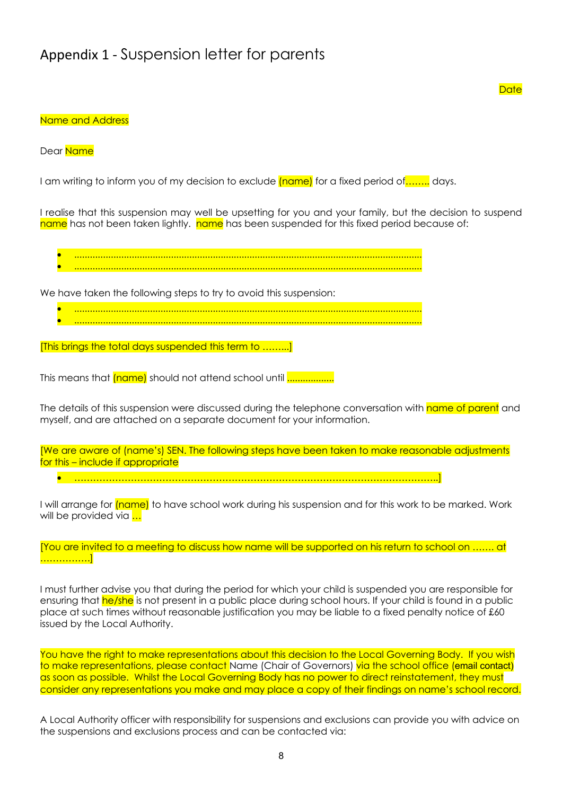## Appendix 1 - Suspension letter for parents

#### **Date**

#### Name and Address

Dear Name

I am writing to inform you of my decision to exclude (name) for a fixed period of ........ days.

I realise that this suspension may well be upsetting for you and your family, but the decision to suspend name has not been taken lightly. name has been suspended for this fixed period because of:

• ..................................................................................................................................... • .....................................................................................................................................

We have taken the following steps to try to avoid this suspension:

- .....................................................................................................................................
- .....................................................................................................................................

[This brings the total days suspended this term to ……...]

This means that *(name)* should not attend school until **................**...

The details of this suspension were discussed during the telephone conversation with name of parent and myself, and are attached on a separate document for your information.

[We are aware of (name's) SEN. The following steps have been taken to make reasonable adjustments for this – include if appropriate

• ……………………………………………………………………………………………………..]

I will arrange for (name) to have school work during his suspension and for this work to be marked. Work will be provided via ...

[You are invited to a meeting to discuss how name will be supported on his return to school on ……. at ……………]

I must further advise you that during the period for which your child is suspended you are responsible for ensuring that he/she is not present in a public place during school hours. If your child is found in a public place at such times without reasonable justification you may be liable to a fixed penalty notice of £60 issued by the Local Authority.

You have the right to make representations about this decision to the Local Governing Body. If you wish to make representations, please contact Name (Chair of Governors) via the school office (email contact) as soon as possible. Whilst the Local Governing Body has no power to direct reinstatement, they must consider any representations you make and may place a copy of their findings on name's school record.

A Local Authority officer with responsibility for suspensions and exclusions can provide you with advice on the suspensions and exclusions process and can be contacted via: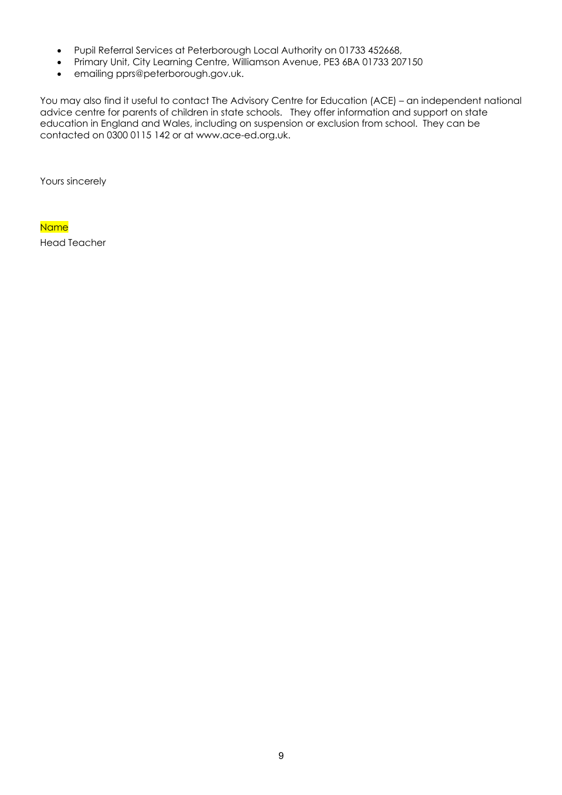- Pupil Referral Services at Peterborough Local Authority on 01733 452668,
- Primary Unit, City Learning Centre, Williamson Avenue, PE3 6BA 01733 207150
- emailing pprs@peterborough.gov.uk.

You may also find it useful to contact The Advisory Centre for Education (ACE) – an independent national advice centre for parents of children in state schools. They offer information and support on state education in England and Wales, including on suspension or exclusion from school. They can be contacted on 0300 0115 142 or at www.ace-ed.org.uk.

Yours sincerely

**Name** Head Teacher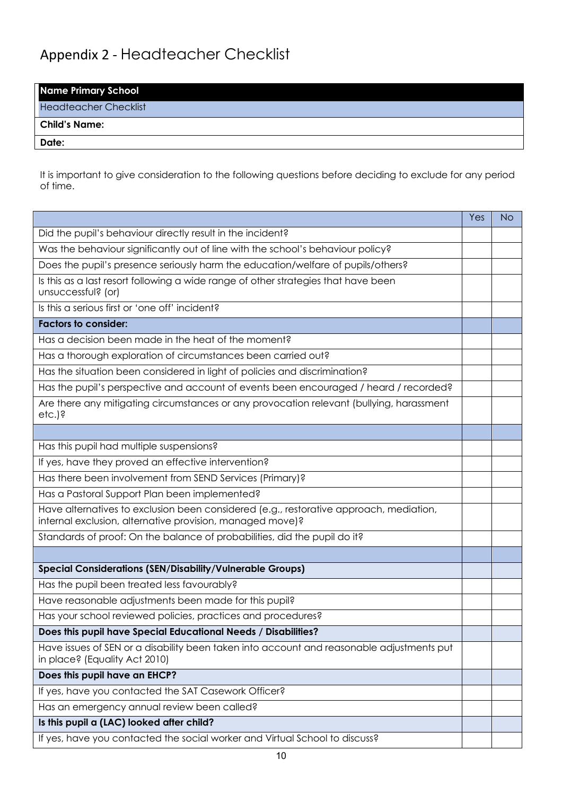# Appendix 2 - Headteacher Checklist

| <b>Name Primary School</b>   |  |
|------------------------------|--|
| <b>Headteacher Checklist</b> |  |
| <b>Child's Name:</b>         |  |
| Date:                        |  |

It is important to give consideration to the following questions before deciding to exclude for any period of time.

|                                                                                                                                                     | Yes | <b>No</b> |
|-----------------------------------------------------------------------------------------------------------------------------------------------------|-----|-----------|
| Did the pupil's behaviour directly result in the incident?                                                                                          |     |           |
| Was the behaviour significantly out of line with the school's behaviour policy?                                                                     |     |           |
| Does the pupil's presence seriously harm the education/welfare of pupils/others?                                                                    |     |           |
| Is this as a last resort following a wide range of other strategies that have been<br>unsuccessful? (or)                                            |     |           |
| Is this a serious first or 'one off' incident?                                                                                                      |     |           |
| <b>Factors to consider:</b>                                                                                                                         |     |           |
| Has a decision been made in the heat of the moment?                                                                                                 |     |           |
| Has a thorough exploration of circumstances been carried out?                                                                                       |     |           |
| Has the situation been considered in light of policies and discrimination?                                                                          |     |           |
| Has the pupil's perspective and account of events been encouraged / heard / recorded?                                                               |     |           |
| Are there any mitigating circumstances or any provocation relevant (bullying, harassment<br>etc.)?                                                  |     |           |
|                                                                                                                                                     |     |           |
| Has this pupil had multiple suspensions?                                                                                                            |     |           |
| If yes, have they proved an effective intervention?                                                                                                 |     |           |
| Has there been involvement from SEND Services (Primary)?                                                                                            |     |           |
| Has a Pastoral Support Plan been implemented?                                                                                                       |     |           |
| Have alternatives to exclusion been considered (e.g., restorative approach, mediation,<br>internal exclusion, alternative provision, managed move)? |     |           |
| Standards of proof: On the balance of probabilities, did the pupil do it?                                                                           |     |           |
|                                                                                                                                                     |     |           |
| <b>Special Considerations (SEN/Disability/Vulnerable Groups)</b>                                                                                    |     |           |
| Has the pupil been treated less favourably?                                                                                                         |     |           |
| Have reasonable adjustments been made for this pupil?                                                                                               |     |           |
| Has your school reviewed policies, practices and procedures?                                                                                        |     |           |
| Does this pupil have Special Educational Needs / Disabilities?                                                                                      |     |           |
| Have issues of SEN or a disability been taken into account and reasonable adjustments put<br>in place? (Equality Act 2010)                          |     |           |
| Does this pupil have an EHCP?                                                                                                                       |     |           |
| If yes, have you contacted the SAT Casework Officer?                                                                                                |     |           |
| Has an emergency annual review been called?                                                                                                         |     |           |
| Is this pupil a (LAC) looked after child?                                                                                                           |     |           |
| If yes, have you contacted the social worker and Virtual School to discuss?                                                                         |     |           |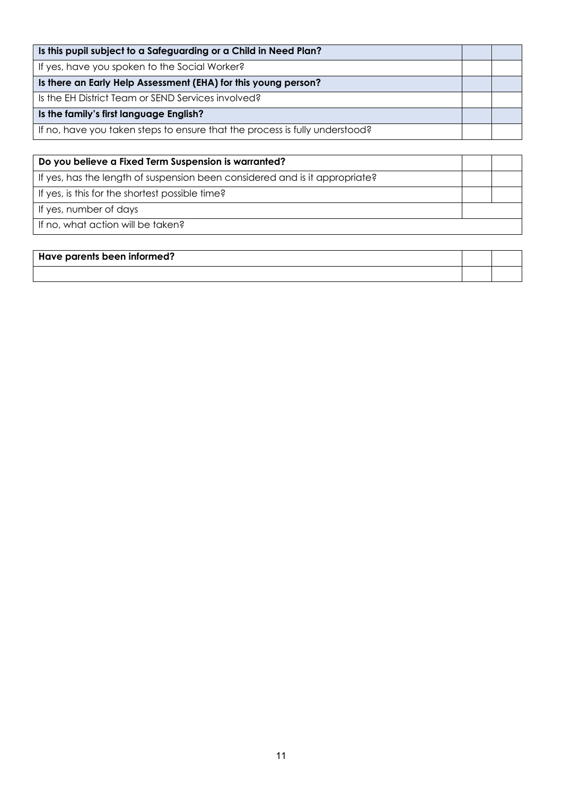| Is this pupil subject to a Safeguarding or a Child in Need Plan?            |  |
|-----------------------------------------------------------------------------|--|
| If yes, have you spoken to the Social Worker?                               |  |
| Is there an Early Help Assessment (EHA) for this young person?              |  |
| Is the EH District Team or SEND Services involved?                          |  |
| Is the family's first language English?                                     |  |
| If no, have you taken steps to ensure that the process is fully understood? |  |

| Do you believe a Fixed Term Suspension is warranted?                        |  |
|-----------------------------------------------------------------------------|--|
| If yes, has the length of suspension been considered and is it appropriate? |  |
| If yes, is this for the shortest possible time?                             |  |
| If yes, number of days                                                      |  |
| If no, what action will be taken?                                           |  |

| $^\dagger$ Have parents been informed? |  |
|----------------------------------------|--|
|                                        |  |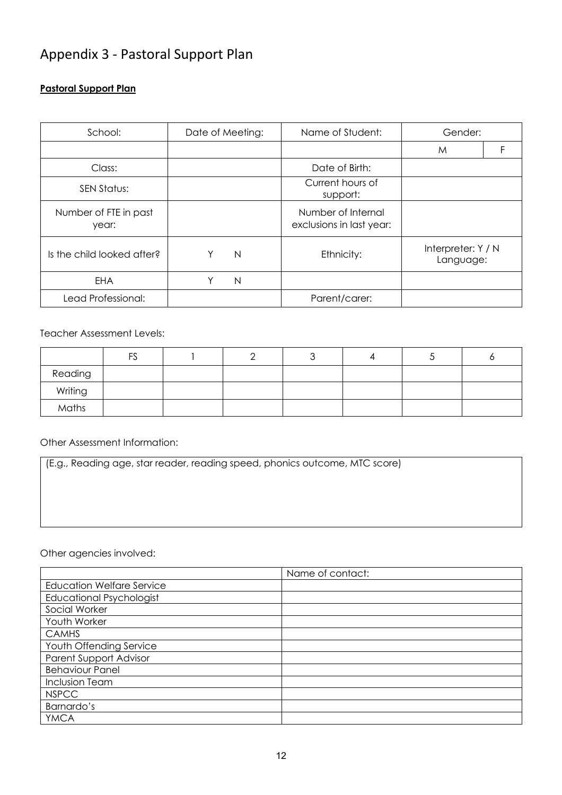## Appendix 3 - Pastoral Support Plan

#### **Pastoral Support Plan**

| School:                        | Date of Meeting: | Name of Student:                               | Gender:                         |
|--------------------------------|------------------|------------------------------------------------|---------------------------------|
|                                |                  |                                                | M                               |
| Class:                         |                  | Date of Birth:                                 |                                 |
| SEN Status:                    |                  | Current hours of<br>support:                   |                                 |
| Number of FTE in past<br>year: |                  | Number of Internal<br>exclusions in last year: |                                 |
| Is the child looked after?     | N                | Ethnicity:                                     | Interpreter: Y / N<br>Language: |
| EHA                            | N<br>٧           |                                                |                                 |
| Lead Professional:             |                  | Parent/carer:                                  |                                 |

Teacher Assessment Levels:

|         | FS |  |  |  |
|---------|----|--|--|--|
| Reading |    |  |  |  |
| Writing |    |  |  |  |
| Maths   |    |  |  |  |

Other Assessment Information:

(E.g., Reading age, star reader, reading speed, phonics outcome, MTC score)

Other agencies involved:

|                                  | Name of contact: |
|----------------------------------|------------------|
| <b>Education Welfare Service</b> |                  |
| <b>Educational Psychologist</b>  |                  |
| Social Worker                    |                  |
| Youth Worker                     |                  |
| <b>CAMHS</b>                     |                  |
| Youth Offending Service          |                  |
| <b>Parent Support Advisor</b>    |                  |
| <b>Behaviour Panel</b>           |                  |
| <b>Inclusion Team</b>            |                  |
| <b>NSPCC</b>                     |                  |
| Barnardo's                       |                  |
| <b>YMCA</b>                      |                  |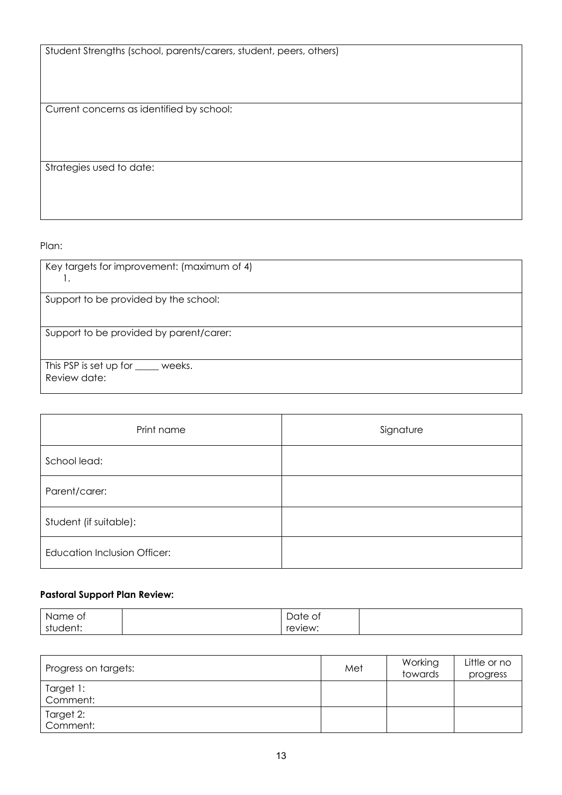Student Strengths (school, parents/carers, student, peers, others)

Current concerns as identified by school:

Strategies used to date:

Plan:

| Key targets for improvement: (maximum of 4)<br>ι.   |
|-----------------------------------------------------|
| Support to be provided by the school:               |
| Support to be provided by parent/carer:             |
| This PSP is set up for _____ weeks.<br>Review date: |

| Print name                          | Signature |
|-------------------------------------|-----------|
| School lead:                        |           |
| Parent/carer:                       |           |
| Student (if suitable):              |           |
| <b>Education Inclusion Officer:</b> |           |

#### **Pastoral Support Plan Review:**

| ∴N≀<br>Οt<br>ne<br>ີ  | -<br>ിറ†ല<br>$\sim$<br>ับเบ<br>◡ |  |
|-----------------------|----------------------------------|--|
| dent:<br>-c†i<br>. 16 | $r \triangle$<br>:view.          |  |

| Progress on targets:  | Met | Working<br>towards | Little or no<br>progress |
|-----------------------|-----|--------------------|--------------------------|
| Target 1:<br>Comment: |     |                    |                          |
| Target 2:<br>Comment: |     |                    |                          |